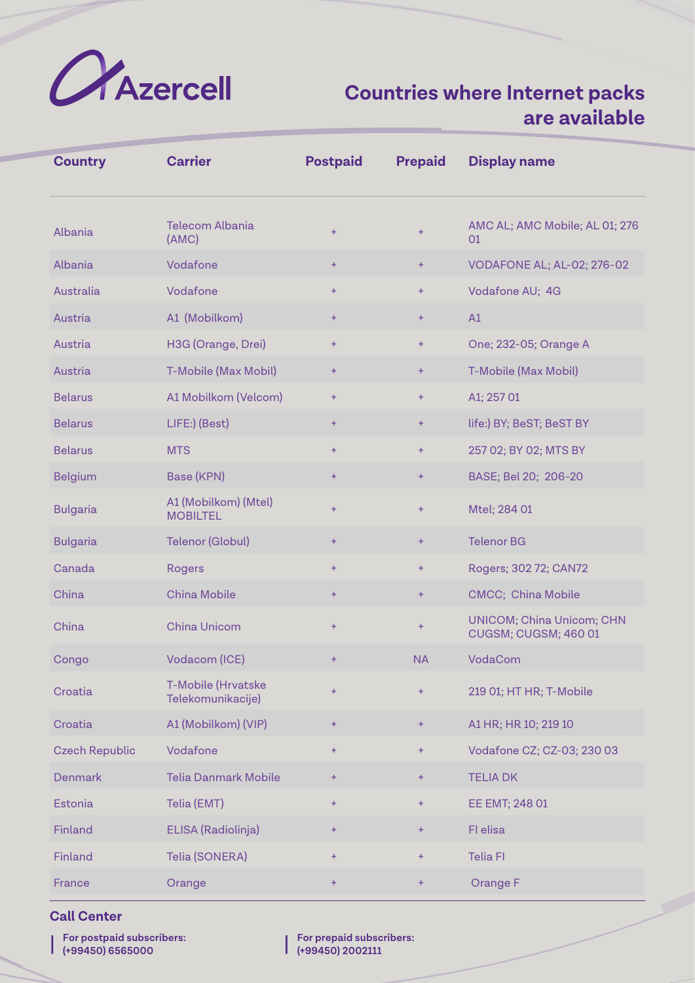

| <b>Country</b>        | <b>Carrier</b>                          | <b>Postpaid</b> | <b>Prepaid</b> | <b>Display name</b>                                      |
|-----------------------|-----------------------------------------|-----------------|----------------|----------------------------------------------------------|
| Albania               | <b>Telecom Albania</b><br>(AMC)         | $+$             | ÷              | AMC AL; AMC Mobile; AL 01; 276<br>01                     |
| Albania               | Vodafone                                | ÷.              | ÷              | VODAFONE AL; AL-02; 276-02                               |
| Australia             | Vodafone                                | $+$             | ÷              | Vodafone AU; 4G                                          |
| Austria               | A1 (Mobilkom)                           | ÷.              | ÷              | A1                                                       |
| Austria               | H3G (Orange, Drei)                      | $+$             | ÷              | One; 232-05; Orange A                                    |
| Austria               | T-Mobile (Max Mobil)                    | $+$             | ÷              | T-Mobile (Max Mobil)                                     |
| <b>Belarus</b>        | A1 Mobilkom (Velcom)                    | $\ddot{}$       | ÷              | A1; 257 01                                               |
| <b>Belarus</b>        | LIFE:) (Best)                           | $\pm$           | ÷              | life:) BY; BeST; BeST BY                                 |
| <b>Belarus</b>        | <b>MTS</b>                              | $+$             | ÷              | 257 02; BY 02; MTS BY                                    |
| <b>Belgium</b>        | Base (KPN)                              | $\ddot{}$       | ÷              | BASE; Bel 20; 206-20                                     |
| <b>Bulgaria</b>       | A1 (Mobilkom) (Mtel)<br><b>MOBILTEL</b> | $+$             | ÷              | Mtel; 284 01                                             |
| <b>Bulgaria</b>       | <b>Telenor (Globul)</b>                 | ÷               | ÷              | <b>Telenor BG</b>                                        |
| Canada                | <b>Rogers</b>                           | $+$             | ÷              | Rogers; 302 72; CAN72                                    |
| China                 | <b>China Mobile</b>                     | ÷.              | ÷              | <b>CMCC; China Mobile</b>                                |
| China                 | <b>China Unicom</b>                     | $+$             | ÷              | <b>UNICOM; China Unicom; CHN</b><br>CUGSM; CUGSM; 460 01 |
| Congo                 | Vodacom (ICE)                           | $\ddot{}$       | <b>NA</b>      | VodaCom                                                  |
| Croatia               | T-Mobile (Hrvatske<br>Telekomunikacije) | $\pm$           | ÷              | 219 01; HT HR; T-Mobile                                  |
| Croatia               | A1 (Mobilkom) (VIP)                     | ÷               | ÷              | A1 HR; HR 10; 219 10                                     |
| <b>Czech Republic</b> | Vodafone                                | $+$             | $\ddot{}$      | Vodafone CZ; CZ-03; 230 03                               |
| <b>Denmark</b>        | <b>Telia Danmark Mobile</b>             | $\ddot{}$       | $\ddot{}$      | <b>TELIA DK</b>                                          |
| Estonia               | Telia (EMT)                             | $\ddot{}$       | $\ddot{}$      | EE EMT; 248 01                                           |
| Finland               | ELISA (Radiolinja)                      | $+$             | ÷              | FI elisa                                                 |
| Finland               | Telia (SONERA)                          | $\pm$           | ÷              | <b>Telia FI</b>                                          |
| France                | Orange                                  | ÷.              | ÷              | Orange F                                                 |

#### **Call Center**

| | **For postpaid subscribers: (+99450) 6565000**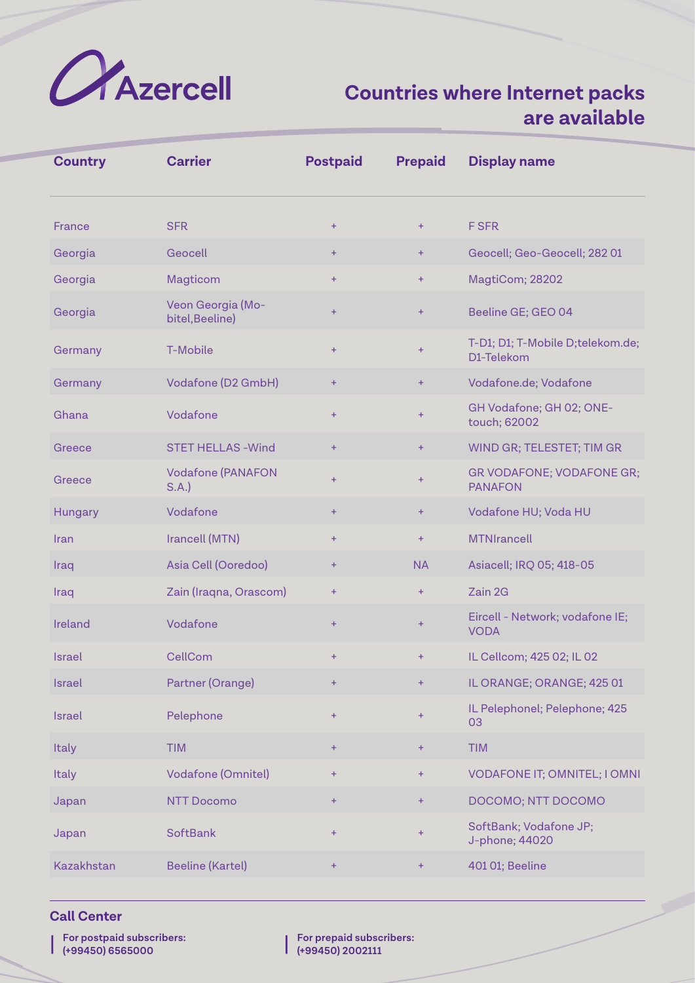

| <b>Country</b> | <b>Carrier</b>                       | <b>Postpaid</b> | <b>Prepaid</b> | <b>Display name</b>                            |
|----------------|--------------------------------------|-----------------|----------------|------------------------------------------------|
| France         | <b>SFR</b>                           | $+$             | $+$            | <b>F SFR</b>                                   |
| Georgia        | Geocell                              | $\pm$           | $+$            | Geocell; Geo-Geocell; 282 01                   |
| Georgia        | Magticom                             | $\ddot{}$       | $\ddot{}$      | MagtiCom; 28202                                |
| Georgia        | Veon Georgia (Mo-<br>bitel, Beeline) | $\ddot{}$       | $\ddot{}$      | Beeline GE; GEO 04                             |
| Germany        | T-Mobile                             | $+$             | $\ddot{}$      | T-D1; D1; T-Mobile D;telekom.de;<br>D1-Telekom |
| Germany        | Vodafone (D2 GmbH)                   | $\pm$           | $\pm$          | Vodafone.de; Vodafone                          |
| Ghana          | Vodafone                             | $\ddot{}$       | $\ddot{}$      | GH Vodafone; GH 02; ONE-<br>touch; 62002       |
| Greece         | <b>STET HELLAS - Wind</b>            | $\ddot{}$       | $\pm$          | WIND GR; TELESTET; TIM GR                      |
| Greece         | <b>Vodafone (PANAFON</b><br>S.A.     | $+$             | $\ddot{}$      | GR VODAFONE; VODAFONE GR;<br><b>PANAFON</b>    |
| Hungary        | Vodafone                             | $+$             | $\ddot{}$      | Vodafone HU; Voda HU                           |
| Iran           | Irancell (MTN)                       | $\ddot{}$       | $\ddot{}$      | <b>MTNIrancell</b>                             |
| Iraq           | Asia Cell (Ooredoo)                  | $\pm$           | <b>NA</b>      | Asiacell; IRQ 05; 418-05                       |
| Iraq           | Zain (Iraqna, Orascom)               | $\pm$           | $\ddot{}$      | Zain 2G                                        |
| Ireland        | Vodafone                             | $\ddot{}$       | $\ddot{}$      | Eircell - Network; vodafone IE;<br><b>VODA</b> |
| <b>Israel</b>  | CellCom                              | $\ddot{}$       | $\ddot{}$      | IL Cellcom; 425 02; IL 02                      |
| Israel         | Partner (Orange)                     | ÷               | $\pm$          | IL ORANGE; ORANGE; 425 01                      |
| <b>Israel</b>  | Pelephone                            | $\ddot{}$       | $\pm$          | IL Pelephonel; Pelephone; 425<br>03            |
| <b>Italy</b>   | <b>TIM</b>                           | ÷               | $\pm$          | <b>TIM</b>                                     |
| Italy          | Vodafone (Omnitel)                   | $\pm$           | $\pm$          | <b>VODAFONE IT; OMNITEL; I OMNI</b>            |
| Japan          | <b>NTT Docomo</b>                    | ÷               | $\pm$          | DOCOMO; NTT DOCOMO                             |
| Japan          | <b>SoftBank</b>                      | $\pm$           | $\ddot{}$      | SoftBank; Vodafone JP;<br>J-phone; 44020       |
| Kazakhstan     | <b>Beeline (Kartel)</b>              | ÷               | $\pm$          | 401 01; Beeline                                |

#### **Call Center**

| | **For postpaid subscribers: (+99450) 6565000**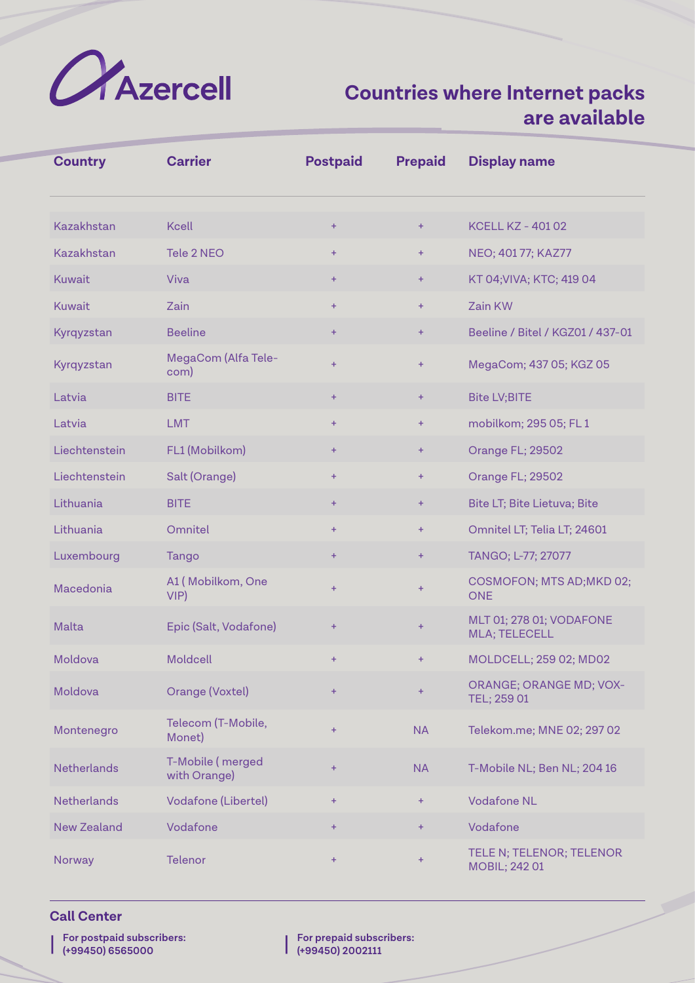

| <b>Country</b>     | <b>Carrier</b>                   | <b>Postpaid</b>  | <b>Prepaid</b> | <b>Display name</b>                              |
|--------------------|----------------------------------|------------------|----------------|--------------------------------------------------|
| Kazakhstan         | <b>Kcell</b>                     | ÷                | $\ddot{}$      | <b>KCELL KZ - 40102</b>                          |
| <b>Kazakhstan</b>  | Tele 2 NEO                       | $+$              | $+$            | NEO; 401 77; KAZ77                               |
| <b>Kuwait</b>      | Viva                             | $+$              | $\ddot{}$      | KT 04; VIVA; KTC; 419 04                         |
| <b>Kuwait</b>      | Zain                             | $+$              | $\ddot{}$      | Zain KW                                          |
| Kyrqyzstan         | <b>Beeline</b>                   | $\ddot{}$        | $\pm$          | Beeline / Bitel / KGZ01 / 437-01                 |
| Kyrqyzstan         | MegaCom (Alfa Tele-<br>com)      | $+$              | $\ddot{}$      | MegaCom; 437 05; KGZ 05                          |
| Latvia             | <b>BITE</b>                      | $\ddot{}$        | $\pm$          | <b>Bite LV;BITE</b>                              |
| Latvia             | <b>LMT</b>                       | $+$              | $\ddot{}$      | mobilkom; 295 05; FL 1                           |
| Liechtenstein      | FL1 (Mobilkom)                   | ÷                | $\pm$          | Orange FL; 29502                                 |
| Liechtenstein      | Salt (Orange)                    | $\ddot{}$        | $+$            | Orange FL; 29502                                 |
| Lithuania          | <b>BITE</b>                      | $\ddot{}$        | $\ddot{}$      | Bite LT; Bite Lietuva; Bite                      |
| Lithuania          | Omnitel                          | $+$              | $\ddot{}$      | Omnitel LT; Telia LT; 24601                      |
| Luxembourg         | Tango                            | $\ddot{}$        | $\ddot{}$      | TANGO; L-77; 27077                               |
| Macedonia          | A1 (Mobilkom, One<br>VIP         | $+$              | $\ddot{}$      | COSMOFON; MTS AD; MKD 02;<br><b>ONE</b>          |
| <b>Malta</b>       | Epic (Salt, Vodafone)            | $\ddot{}$        | $\ddot{}$      | MLT 01; 278 01; VODAFONE<br><b>MLA; TELECELL</b> |
| Moldova            | Moldcell                         | $\ddot{}$        | $+$            | MOLDCELL; 259 02; MD02                           |
| Moldova            | Orange (Voxtel)                  | $\ddot{}$        | $\ddot{}$      | <b>ORANGE; ORANGE MD; VOX-</b><br>TEL; 259 01    |
| Montenegro         | Telecom (T-Mobile,<br>Monet)     | $\ddot{}$        | <b>NA</b>      | Telekom.me; MNE 02; 297 02                       |
| <b>Netherlands</b> | T-Mobile (merged<br>with Orange) | ÷                | <b>NA</b>      | T-Mobile NL; Ben NL; 204 16                      |
| <b>Netherlands</b> | <b>Vodafone (Libertel)</b>       | $\color{red}{+}$ | $\pm$          | <b>Vodafone NL</b>                               |
| <b>New Zealand</b> | Vodafone                         | $\pm$            | $+$            | Vodafone                                         |
| Norway             | <b>Telenor</b>                   | $\ddot{}$        | $\ddot{}$      | TELE N; TELENOR; TELENOR<br>MOBIL; 242 01        |

### **Call Center**

| | **For postpaid subscribers: (+99450) 6565000**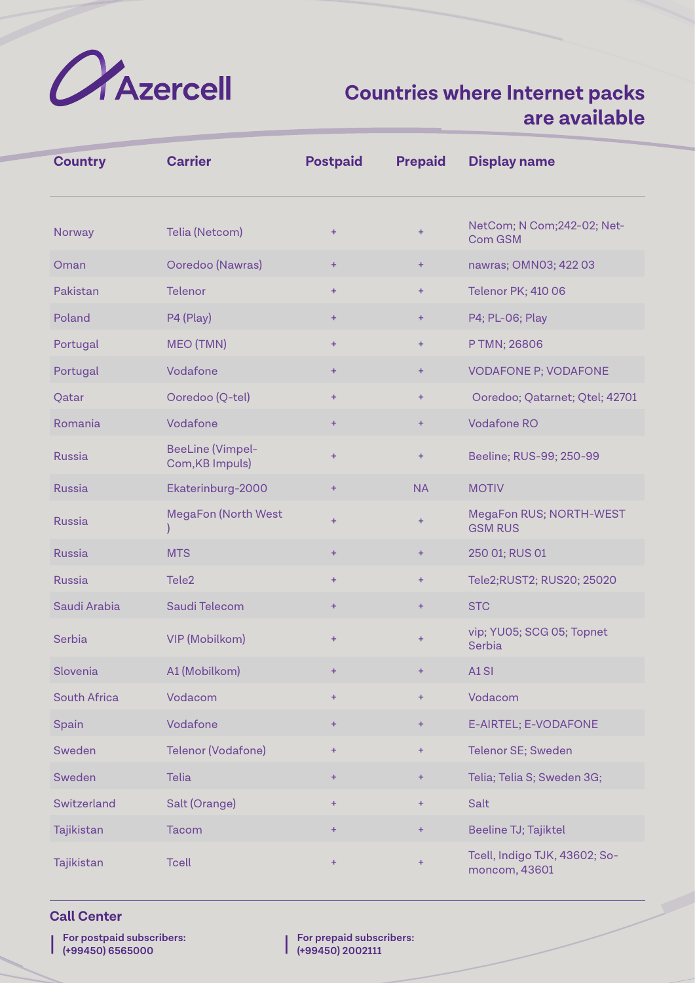

| <b>Country</b>      | <b>Carrier</b>                             | <b>Postpaid</b> | <b>Prepaid</b> | <b>Display name</b>                            |
|---------------------|--------------------------------------------|-----------------|----------------|------------------------------------------------|
| Norway              | Telia (Netcom)                             | $\ddot{}$       | $+$            | NetCom; N Com; 242-02; Net-<br>Com GSM         |
| Oman                | Ooredoo (Nawras)                           | ÷.              | $+$            | nawras; OMN03; 422 03                          |
| Pakistan            | <b>Telenor</b>                             | ÷               | $+$            | <b>Telenor PK; 410 06</b>                      |
| Poland              | P4 (Play)                                  | ÷.              | $+$            | P4; PL-06; Play                                |
| Portugal            | MEO (TMN)                                  | ÷               | $+$            | P TMN; 26806                                   |
| Portugal            | Vodafone                                   | ÷.              | $+$            | <b>VODAFONE P; VODAFONE</b>                    |
| Qatar               | Ooredoo (Q-tel)                            | ÷               | $+$            | Ooredoo; Qatarnet; Qtel; 42701                 |
| Romania             | Vodafone                                   | ÷.              | ÷              | <b>Vodafone RO</b>                             |
| <b>Russia</b>       | <b>BeeLine (Vimpel-</b><br>Com, KB Impuls) | ÷.              | $+$            | Beeline; RUS-99; 250-99                        |
| <b>Russia</b>       | Ekaterinburg-2000                          | ÷.              | <b>NA</b>      | <b>MOTIV</b>                                   |
| <b>Russia</b>       | <b>MegaFon (North West</b>                 | $+$             | $+$            | MegaFon RUS; NORTH-WEST<br><b>GSM RUS</b>      |
| <b>Russia</b>       | <b>MTS</b>                                 | ÷.              | $+$            | 250 01; RUS 01                                 |
| <b>Russia</b>       | Tele <sub>2</sub>                          | ÷               | $+$            | Tele2;RUST2; RUS20; 25020                      |
| Saudi Arabia        | Saudi Telecom                              | ÷               | $+$            | <b>STC</b>                                     |
| Serbia              | <b>VIP (Mobilkom)</b>                      | $\pm$           | $+$            | vip; YU05; SCG 05; Topnet<br>Serbia            |
| Slovenia            | A1 (Mobilkom)                              |                 |                | A1SI                                           |
| <b>South Africa</b> | Vodacom                                    | ÷               | $+$            | Vodacom                                        |
| Spain               | Vodafone                                   | ÷.              | $+$            | E-AIRTEL; E-VODAFONE                           |
| Sweden              | Telenor (Vodafone)                         | $+$             | $+$            | Telenor SE; Sweden                             |
| Sweden              | <b>Telia</b>                               | Ŧ               | $+$            | Telia; Telia S; Sweden 3G;                     |
| Switzerland         | Salt (Orange)                              | $\ddot{}$       | $+$            | Salt                                           |
| Tajikistan          | <b>Tacom</b>                               | ÷               | ÷              | Beeline TJ; Tajiktel                           |
| Tajikistan          | <b>Tcell</b>                               | ÷               | $+$            | Tcell, Indigo TJK, 43602; So-<br>moncom, 43601 |

### **Call Center**

| | **For postpaid subscribers: (+99450) 6565000**